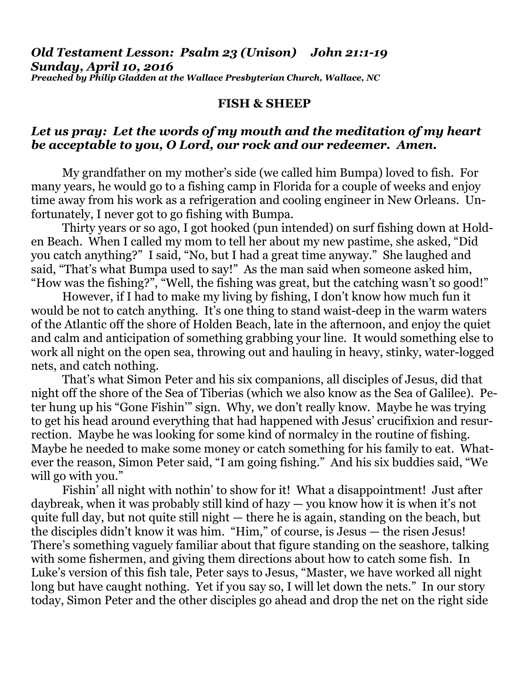#### *Old Testament Lesson: Psalm 23 (Unison) John 21:1-19 Sunday, April 10, 2016 Preached by Philip Gladden at the Wallace Presbyterian Church, Wallace, NC*

#### **FISH & SHEEP**

# *Let us pray: Let the words of my mouth and the meditation of my heart be acceptable to you, O Lord, our rock and our redeemer. Amen.*

My grandfather on my mother's side (we called him Bumpa) loved to fish. For many years, he would go to a fishing camp in Florida for a couple of weeks and enjoy time away from his work as a refrigeration and cooling engineer in New Orleans. Unfortunately, I never got to go fishing with Bumpa.

 Thirty years or so ago, I got hooked (pun intended) on surf fishing down at Holden Beach. When I called my mom to tell her about my new pastime, she asked, "Did you catch anything?" I said, "No, but I had a great time anyway." She laughed and said, "That's what Bumpa used to say!" As the man said when someone asked him, "How was the fishing?", "Well, the fishing was great, but the catching wasn't so good!"

 However, if I had to make my living by fishing, I don't know how much fun it would be not to catch anything. It's one thing to stand waist-deep in the warm waters of the Atlantic off the shore of Holden Beach, late in the afternoon, and enjoy the quiet and calm and anticipation of something grabbing your line. It would something else to work all night on the open sea, throwing out and hauling in heavy, stinky, water-logged nets, and catch nothing.

 That's what Simon Peter and his six companions, all disciples of Jesus, did that night off the shore of the Sea of Tiberias (which we also know as the Sea of Galilee). Peter hung up his "Gone Fishin'" sign. Why, we don't really know. Maybe he was trying to get his head around everything that had happened with Jesus' crucifixion and resurrection. Maybe he was looking for some kind of normalcy in the routine of fishing. Maybe he needed to make some money or catch something for his family to eat. Whatever the reason, Simon Peter said, "I am going fishing." And his six buddies said, "We will go with you."

 Fishin' all night with nothin' to show for it! What a disappointment! Just after daybreak, when it was probably still kind of hazy  $-$  you know how it is when it's not quite full day, but not quite still night — there he is again, standing on the beach, but the disciples didn't know it was him. "Him," of course, is Jesus — the risen Jesus! There's something vaguely familiar about that figure standing on the seashore, talking with some fishermen, and giving them directions about how to catch some fish. In Luke's version of this fish tale, Peter says to Jesus, "Master, we have worked all night long but have caught nothing. Yet if you say so, I will let down the nets." In our story today, Simon Peter and the other disciples go ahead and drop the net on the right side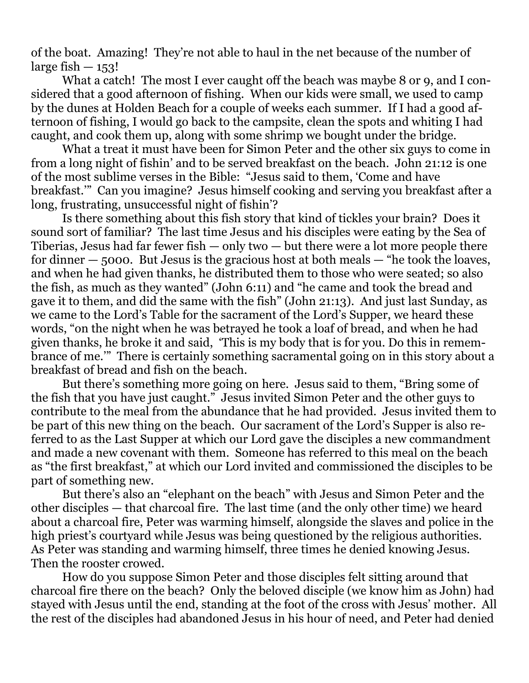of the boat. Amazing! They're not able to haul in the net because of the number of large fish  $-153!$ 

What a catch! The most I ever caught off the beach was maybe 8 or 9, and I considered that a good afternoon of fishing. When our kids were small, we used to camp by the dunes at Holden Beach for a couple of weeks each summer. If I had a good afternoon of fishing, I would go back to the campsite, clean the spots and whiting I had caught, and cook them up, along with some shrimp we bought under the bridge.

 What a treat it must have been for Simon Peter and the other six guys to come in from a long night of fishin' and to be served breakfast on the beach. John 21:12 is one of the most sublime verses in the Bible: "Jesus said to them, 'Come and have breakfast.'" Can you imagine? Jesus himself cooking and serving you breakfast after a long, frustrating, unsuccessful night of fishin'?

 Is there something about this fish story that kind of tickles your brain? Does it sound sort of familiar? The last time Jesus and his disciples were eating by the Sea of Tiberias, Jesus had far fewer fish  $-$  only two  $-$  but there were a lot more people there for dinner  $-$  5000. But Jesus is the gracious host at both meals  $-$  "he took the loaves, and when he had given thanks, he distributed them to those who were seated; so also the fish, as much as they wanted" (John 6:11) and "he came and took the bread and gave it to them, and did the same with the fish" (John 21:13). And just last Sunday, as we came to the Lord's Table for the sacrament of the Lord's Supper, we heard these words, "on the night when he was betrayed he took a loaf of bread, and when he had given thanks, he broke it and said, 'This is my body that is for you. Do this in remembrance of me.'" There is certainly something sacramental going on in this story about a breakfast of bread and fish on the beach.

 But there's something more going on here. Jesus said to them, "Bring some of the fish that you have just caught." Jesus invited Simon Peter and the other guys to contribute to the meal from the abundance that he had provided. Jesus invited them to be part of this new thing on the beach. Our sacrament of the Lord's Supper is also referred to as the Last Supper at which our Lord gave the disciples a new commandment and made a new covenant with them. Someone has referred to this meal on the beach as "the first breakfast," at which our Lord invited and commissioned the disciples to be part of something new.

 But there's also an "elephant on the beach" with Jesus and Simon Peter and the other disciples — that charcoal fire. The last time (and the only other time) we heard about a charcoal fire, Peter was warming himself, alongside the slaves and police in the high priest's courtyard while Jesus was being questioned by the religious authorities. As Peter was standing and warming himself, three times he denied knowing Jesus. Then the rooster crowed.

 How do you suppose Simon Peter and those disciples felt sitting around that charcoal fire there on the beach? Only the beloved disciple (we know him as John) had stayed with Jesus until the end, standing at the foot of the cross with Jesus' mother. All the rest of the disciples had abandoned Jesus in his hour of need, and Peter had denied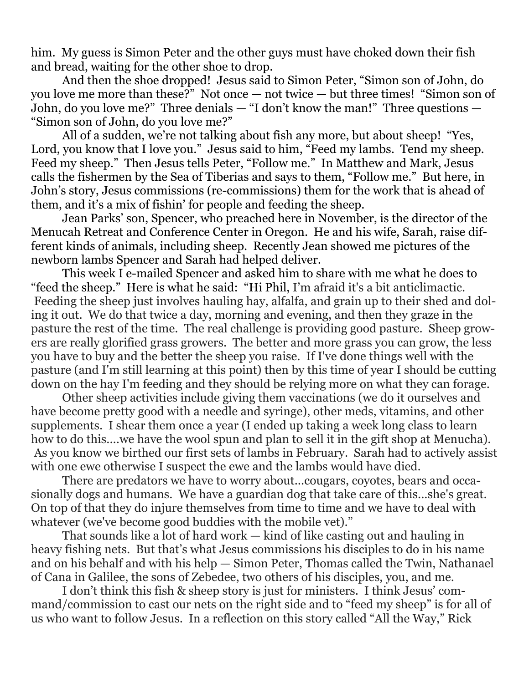him. My guess is Simon Peter and the other guys must have choked down their fish and bread, waiting for the other shoe to drop.

 And then the shoe dropped! Jesus said to Simon Peter, "Simon son of John, do you love me more than these?" Not once — not twice — but three times! "Simon son of John, do you love me?" Three denials — "I don't know the man!" Three questions — "Simon son of John, do you love me?"

 All of a sudden, we're not talking about fish any more, but about sheep! "Yes, Lord, you know that I love you." Jesus said to him, "Feed my lambs. Tend my sheep. Feed my sheep." Then Jesus tells Peter, "Follow me." In Matthew and Mark, Jesus calls the fishermen by the Sea of Tiberias and says to them, "Follow me." But here, in John's story, Jesus commissions (re-commissions) them for the work that is ahead of them, and it's a mix of fishin' for people and feeding the sheep.

 Jean Parks' son, Spencer, who preached here in November, is the director of the Menucah Retreat and Conference Center in Oregon. He and his wife, Sarah, raise different kinds of animals, including sheep. Recently Jean showed me pictures of the newborn lambs Spencer and Sarah had helped deliver.

 This week I e-mailed Spencer and asked him to share with me what he does to "feed the sheep." Here is what he said: "Hi Phil, I'm afraid it's a bit anticlimactic. Feeding the sheep just involves hauling hay, alfalfa, and grain up to their shed and doling it out. We do that twice a day, morning and evening, and then they graze in the pasture the rest of the time. The real challenge is providing good pasture. Sheep growers are really glorified grass growers. The better and more grass you can grow, the less you have to buy and the better the sheep you raise. If I've done things well with the pasture (and I'm still learning at this point) then by this time of year I should be cutting down on the hay I'm feeding and they should be relying more on what they can forage.

 Other sheep activities include giving them vaccinations (we do it ourselves and have become pretty good with a needle and syringe), other meds, vitamins, and other supplements. I shear them once a year (I ended up taking a week long class to learn how to do this....we have the wool spun and plan to sell it in the gift shop at Menucha). As you know we birthed our first sets of lambs in February. Sarah had to actively assist with one ewe otherwise I suspect the ewe and the lambs would have died.

 There are predators we have to worry about...cougars, coyotes, bears and occasionally dogs and humans. We have a guardian dog that take care of this...she's great. On top of that they do injure themselves from time to time and we have to deal with whatever (we've become good buddies with the mobile vet)."

 That sounds like a lot of hard work — kind of like casting out and hauling in heavy fishing nets. But that's what Jesus commissions his disciples to do in his name and on his behalf and with his help — Simon Peter, Thomas called the Twin, Nathanael of Cana in Galilee, the sons of Zebedee, two others of his disciples, you, and me.

 I don't think this fish & sheep story is just for ministers. I think Jesus' command/commission to cast our nets on the right side and to "feed my sheep" is for all of us who want to follow Jesus. In a reflection on this story called "All the Way," Rick